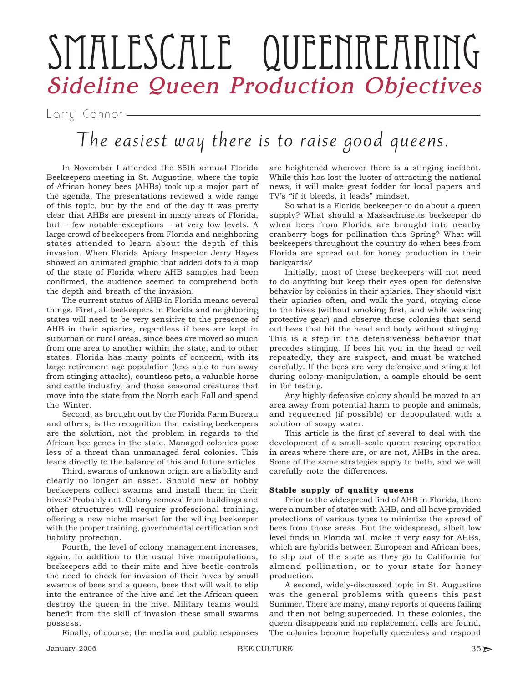# SMALESCALE QUEENREARING Sideline Queen Production Objectives

Larry Connor

# The easiest way there is to raise good queens.

In November I attended the 85th annual Florida Beekeepers meeting in St. Augustine, where the topic of African honey bees (AHBs) took up a major part of the agenda. The presentations reviewed a wide range of this topic, but by the end of the day it was pretty clear that AHBs are present in many areas of Florida, but – few notable exceptions – at very low levels. A large crowd of beekeepers from Florida and neighboring states attended to learn about the depth of this invasion. When Florida Apiary Inspector Jerry Hayes showed an animated graphic that added dots to a map of the state of Florida where AHB samples had been confirmed, the audience seemed to comprehend both the depth and breath of the invasion.

The current status of AHB in Florida means several things. First, all beekeepers in Florida and neighboring states will need to be very sensitive to the presence of AHB in their apiaries, regardless if bees are kept in suburban or rural areas, since bees are moved so much from one area to another within the state, and to other states. Florida has many points of concern, with its large retirement age population (less able to run away from stinging attacks), countless pets, a valuable horse and cattle industry, and those seasonal creatures that move into the state from the North each Fall and spend the Winter.

Second, as brought out by the Florida Farm Bureau and others, is the recognition that existing beekeepers are the solution, not the problem in regards to the African bee genes in the state. Managed colonies pose less of a threat than unmanaged feral colonies. This leads directly to the balance of this and future articles.

Third, swarms of unknown origin are a liability and clearly no longer an asset. Should new or hobby beekeepers collect swarms and install them in their hives? Probably not. Colony removal from buildings and other structures will require professional training, offering a new niche market for the willing beekeeper with the proper training, governmental certification and liability protection.

Fourth, the level of colony management increases, again. In addition to the usual hive manipulations, beekeepers add to their mite and hive beetle controls the need to check for invasion of their hives by small swarms of bees and a queen, bees that will wait to slip into the entrance of the hive and let the African queen destroy the queen in the hive. Military teams would benefit from the skill of invasion these small swarms possess.

Finally, of course, the media and public responses

are heightened wherever there is a stinging incident. While this has lost the luster of attracting the national news, it will make great fodder for local papers and TV's "if it bleeds, it leads" mindset.

So what is a Florida beekeeper to do about a queen supply? What should a Massachusetts beekeeper do when bees from Florida are brought into nearby cranberry bogs for pollination this Spring? What will beekeepers throughout the country do when bees from Florida are spread out for honey production in their backyards?

Initially, most of these beekeepers will not need to do anything but keep their eyes open for defensive behavior by colonies in their apiaries. They should visit their apiaries often, and walk the yard, staying close to the hives (without smoking first, and while wearing protective gear) and observe those colonies that send out bees that hit the head and body without stinging. This is a step in the defensiveness behavior that precedes stinging. If bees hit you in the head or veil repeatedly, they are suspect, and must be watched carefully. If the bees are very defensive and sting a lot during colony manipulation, a sample should be sent in for testing.

Any highly defensive colony should be moved to an area away from potential harm to people and animals, and requeened (if possible) or depopulated with a solution of soapy water.

This article is the first of several to deal with the development of a small-scale queen rearing operation in areas where there are, or are not, AHBs in the area. Some of the same strategies apply to both, and we will carefully note the differences.

## **Stable supply of quality queens**

Prior to the widespread find of AHB in Florida, there were a number of states with AHB, and all have provided protections of various types to minimize the spread of bees from those areas. But the widespread, albeit low level finds in Florida will make it very easy for AHBs, which are hybrids between European and African bees, to slip out of the state as they go to California for almond pollination, or to your state for honey production.

A second, widely-discussed topic in St. Augustine was the general problems with queens this past Summer. There are many, many reports of queens failing and then not being superceded. In these colonies, the queen disappears and no replacement cells are found. The colonies become hopefully queenless and respond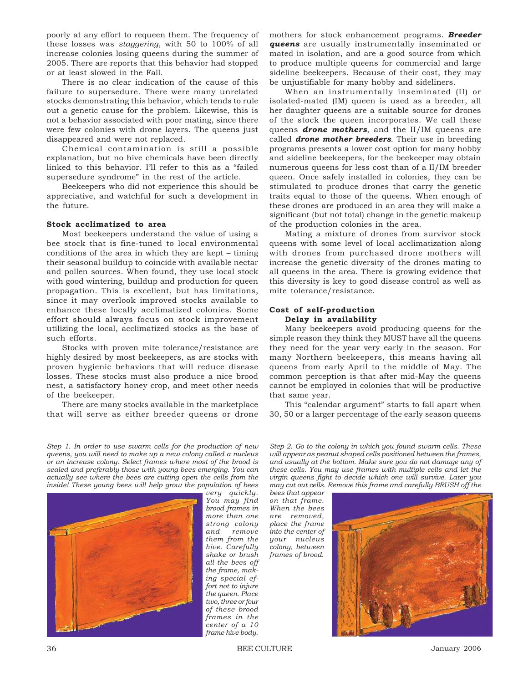poorly at any effort to requeen them. The frequency of these losses was *staggering*, with 50 to 100% of all increase colonies losing queens during the summer of 2005. There are reports that this behavior had stopped or at least slowed in the Fall.

There is no clear indication of the cause of this failure to supersedure. There were many unrelated stocks demonstrating this behavior, which tends to rule out a genetic cause for the problem. Likewise, this is not a behavior associated with poor mating, since there were few colonies with drone layers. The queens just disappeared and were not replaced.

Chemical contamination is still a possible explanation, but no hive chemicals have been directly linked to this behavior. I'll refer to this as a "failed supersedure syndrome" in the rest of the article.

Beekeepers who did not experience this should be appreciative, and watchful for such a development in the future.

#### **Stock acclimatized to area**

Most beekeepers understand the value of using a bee stock that is fine-tuned to local environmental conditions of the area in which they are kept – timing their seasonal buildup to coincide with available nectar and pollen sources. When found, they use local stock with good wintering, buildup and production for queen propagation. This is excellent, but has limitations, since it may overlook improved stocks available to enhance these locally acclimatized colonies. Some effort should always focus on stock improvement utilizing the local, acclimatized stocks as the base of such efforts.

Stocks with proven mite tolerance/resistance are highly desired by most beekeepers, as are stocks with proven hygienic behaviors that will reduce disease losses. These stocks must also produce a nice brood nest, a satisfactory honey crop, and meet other needs of the beekeeper.

There are many stocks available in the marketplace that will serve as either breeder queens or drone mothers for stock enhancement programs. *Breeder queens* are usually instrumentally inseminated or mated in isolation, and are a good source from which to produce multiple queens for commercial and large sideline beekeepers. Because of their cost, they may be unjustifiable for many hobby and sideliners.

When an instrumentally inseminated (II) or isolated-mated (IM) queen is used as a breeder, all her daughter queens are a suitable source for drones of the stock the queen incorporates. We call these queens *drone mothers*, and the II/IM queens are called *drone mother breeders*. Their use in breeding programs presents a lower cost option for many hobby and sideline beekeepers, for the beekeeper may obtain numerous queens for less cost than of a II/IM breeder queen. Once safely installed in colonies, they can be stimulated to produce drones that carry the genetic traits equal to those of the queens. When enough of these drones are produced in an area they will make a significant (but not total) change in the genetic makeup of the production colonies in the area.

Mating a mixture of drones from survivor stock queens with some level of local acclimatization along with drones from purchased drone mothers will increase the genetic diversity of the drones mating to all queens in the area. There is growing evidence that this diversity is key to good disease control as well as mite tolerance/resistance.

### **Cost of self-production Delay in availability**

Many beekeepers avoid producing queens for the simple reason they think they MUST have all the queens they need for the year very early in the season. For many Northern beekeepers, this means having all queens from early April to the middle of May. The common perception is that after mid-May the queens cannot be employed in colonies that will be productive that same year.

This "calendar argument" starts to fall apart when 30, 50 or a larger percentage of the early season queens

*Step 1. In order to use swarm cells for the production of new queens, you will need to make up a new colony called a nucleus or an increase colony. Select frames where most of the brood is sealed and preferably those with young bees emerging. You can actually see where the bees are cutting open the cells from the inside! These young bees will help grow the population of bees*



*very quickly. You may find brood frames in more than one strong colony and remove them from the hive. Carefully shake or brush all the bees off the frame, making special effort not to injure the queen. Place two, three or four of these brood frames in the center of a 10 frame hive body.*

*Step 2. Go to the colony in which you found swarm cells. These will appear as peanut shaped cells positioned between the frames, and usually at the bottom. Make sure you do not damage any of these cells. You may use frames with multiple cells and let the virgin queens fight to decide which one will survive. Later you may cut out cells. Remove this frame and carefully BRUSH off the*

*bees that appear on that frame. When the bees are removed, place the frame into the center of your nucleus colony, between frames of brood.*

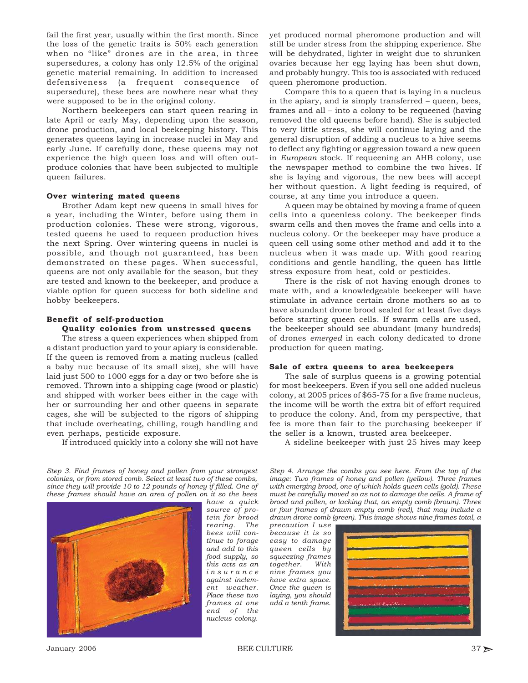fail the first year, usually within the first month. Since the loss of the genetic traits is 50% each generation when no "like" drones are in the area, in three supersedures, a colony has only 12.5% of the original genetic material remaining. In addition to increased defensiveness (a frequent consequence of supersedure), these bees are nowhere near what they were supposed to be in the original colony.

Northern beekeepers can start queen rearing in late April or early May, depending upon the season, drone production, and local beekeeping history. This generates queens laying in increase nuclei in May and early June. If carefully done, these queens may not experience the high queen loss and will often outproduce colonies that have been subjected to multiple queen failures.

#### **Over wintering mated queens**

Brother Adam kept new queens in small hives for a year, including the Winter, before using them in production colonies. These were strong, vigorous, tested queens he used to requeen production hives the next Spring. Over wintering queens in nuclei is possible, and though not guaranteed, has been demonstrated on these pages. When successful, queens are not only available for the season, but they are tested and known to the beekeeper, and produce a viable option for queen success for both sideline and hobby beekeepers.

#### **Benefit of self-production**

#### **Quality colonies from unstressed queens**

The stress a queen experiences when shipped from a distant production yard to your apiary is considerable. If the queen is removed from a mating nucleus (called a baby nuc because of its small size), she will have laid just 500 to 1000 eggs for a day or two before she is removed. Thrown into a shipping cage (wood or plastic) and shipped with worker bees either in the cage with her or surrounding her and other queens in separate cages, she will be subjected to the rigors of shipping that include overheating, chilling, rough handling and even perhaps, pesticide exposure.

If introduced quickly into a colony she will not have

yet produced normal pheromone production and will still be under stress from the shipping experience. She will be dehydrated, lighter in weight due to shrunken ovaries because her egg laying has been shut down, and probably hungry. This too is associated with reduced queen pheromone production.

Compare this to a queen that is laying in a nucleus in the apiary, and is simply transferred – queen, bees, frames and all – into a colony to be requeened (having removed the old queens before hand). She is subjected to very little stress, she will continue laying and the general disruption of adding a nucleus to a hive seems to deflect any fighting or aggression toward a new queen in *European* stock. If requeening an AHB colony, use the newspaper method to combine the two hives. If she is laying and vigorous, the new bees will accept her without question. A light feeding is required, of course, at any time you introduce a queen.

A queen may be obtained by moving a frame of queen cells into a queenless colony. The beekeeper finds swarm cells and then moves the frame and cells into a nucleus colony. Or the beekeeper may have produce a queen cell using some other method and add it to the nucleus when it was made up. With good rearing conditions and gentle handling, the queen has little stress exposure from heat, cold or pesticides.

There is the risk of not having enough drones to mate with, and a knowledgeable beekeeper will have stimulate in advance certain drone mothers so as to have abundant drone brood sealed for at least five days before starting queen cells. If swarm cells are used, the beekeeper should see abundant (many hundreds) of drones *emerged* in each colony dedicated to drone production for queen mating.

#### **Sale of extra queens to area beekeepers**

The sale of surplus queens is a growing potential for most beekeepers. Even if you sell one added nucleus colony, at 2005 prices of \$65-75 for a five frame nucleus, the income will be worth the extra bit of effort required to produce the colony. And, from my perspective, that fee is more than fair to the purchasing beekeeper if the seller is a known, trusted area beekeeper.

*Step 3. Find frames of honey and pollen from your strongest colonies, or from stored comb. Select at least two of these combs, since they will provide 10 to 12 pounds of honey if filled. One of these frames should have an area of pollen on it so the bees*



*have a quick source of protein for brood*  $rearing.$ *bees will continue to forage and add to this food supply, so this acts as an insurance against inclement weather. Place these two frames at one end of the nucleus colony.*

A sideline beekeeper with just 25 hives may keep

*Step 4. Arrange the combs you see here. From the top of the image: Two frames of honey and pollen (yellow). Three frames with emerging brood, one of which holds queen cells (gold). These must be carefully moved so as not to damage the cells. A frame of brood and pollen, or lacking that, an empty comb (brown). Three or four frames of drawn empty comb (red), that may include a drawn drone comb (green). This image shows nine frames total, a*

*precaution I use because it is so easy to damage queen cells by squeezing frames together. With nine frames you have extra space. Once the queen is laying, you should add a tenth frame.*

|                                                    | $\sim$               |  |  |
|----------------------------------------------------|----------------------|--|--|
| <br><b>EXPLORED PROPERTY</b><br><b>Marine Card</b> | л.<br><b>THE 200</b> |  |  |
|                                                    |                      |  |  |
|                                                    |                      |  |  |